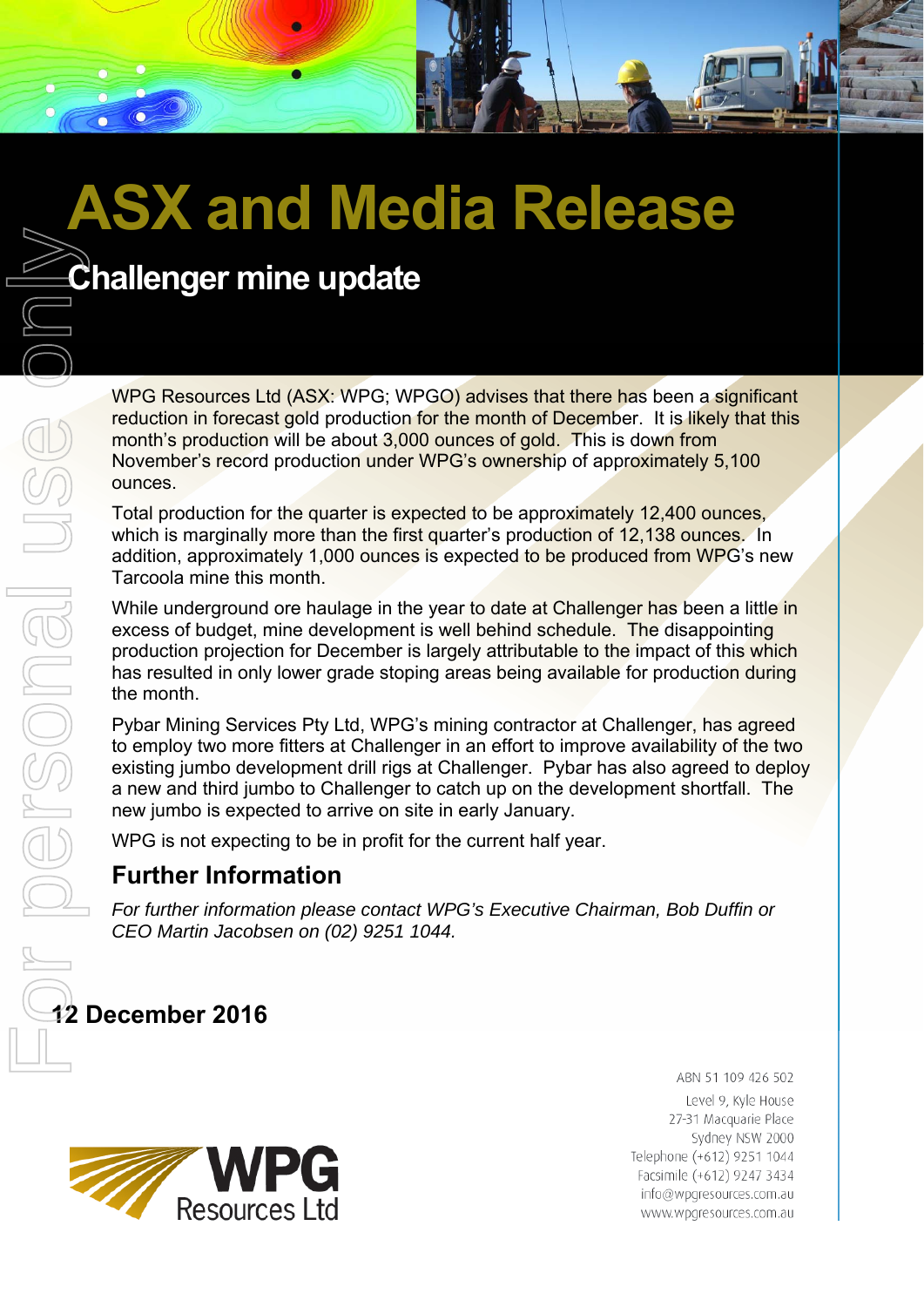# **ASX and Media Release**

WPG Resources Ltd (ASX: WPG; WPGO) advises that there has been a significant reduction in forecast gold production for the month of December. It is likely that this month's production will be about 3,000 ounces of gold. This is down from November's record production under WPG's ownership of approximately 5,100 ounces.

Total production for the quarter is expected to be approximately 12,400 ounces, which is marginally more than the first quarter's production of 12,138 ounces. In addition, approximately 1,000 ounces is expected to be produced from WPG's new Tarcoola mine this month.

While underground ore haulage in the year to date at Challenger has been a little in excess of budget, mine development is well behind schedule. The disappointing production projection for December is largely attributable to the impact of this which has resulted in only lower grade stoping areas being available for production during the month.

Pybar Mining Services Pty Ltd, WPG's mining contractor at Challenger, has agreed to employ two more fitters at Challenger in an effort to improve availability of the two existing jumbo development drill rigs at Challenger. Pybar has also agreed to deploy a new and third jumbo to Challenger to catch up on the development shortfall. The new jumbo is expected to arrive on site in early January.

WPG is not expecting to be in profit for the current half year.

#### **Further Information**

*For further information please contact WPG's Executive Chairman, Bob Duffin or CEO Martin Jacobsen on (02) 9251 1044.* 

## **12 December 2016**



ABN 51 109 426 502 Level 9, Kyle House 27-31 Macquarie Place Sydney NSW 2000 Telephone (+612) 9251 1044 Facsimile (+612) 9247 3434 info@wpgresources.com.au www.wpgresources.com.au